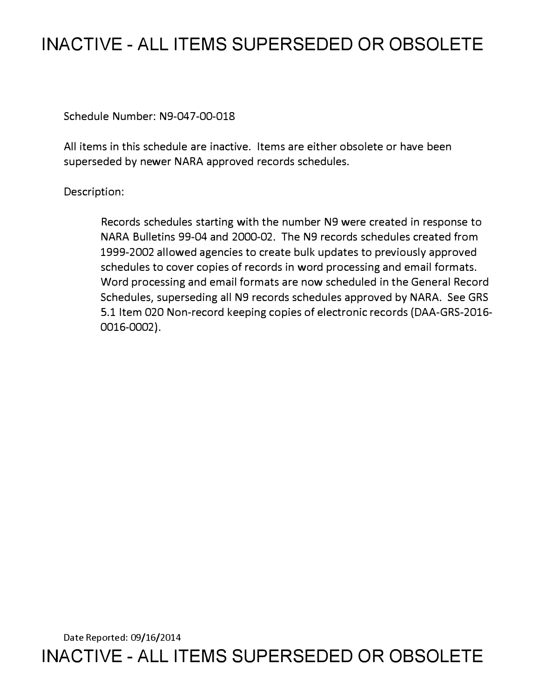# **INACTIVE - ALL ITEMS SUPERSEDED OR OBSOLETE**

Schedule Number: N9-047-00-018

All items in this schedule are inactive. Items are either obsolete or have been superseded by newer NARA approved records schedules.

Description:

Records schedules starting with the number N9 were created in response to NARA Bulletins 99-04 and 2000-02. The N9 records schedules created from 1999-2002 allowed agencies to create bulk updates to previously approved schedules to cover copies of records in word processing and email formats. Word processing and email formats are now scheduled in the General Record Schedules, superseding all N9 records schedules approved by NARA. See GRS 5.1 Item 020 Non-record keeping copies of electronic records (DAA-GRS-2016- 0016-0002).

Date Reported: 09/16/2014 **INACTIVE - ALL ITEMS SUPERSEDED OR OBSOLETE**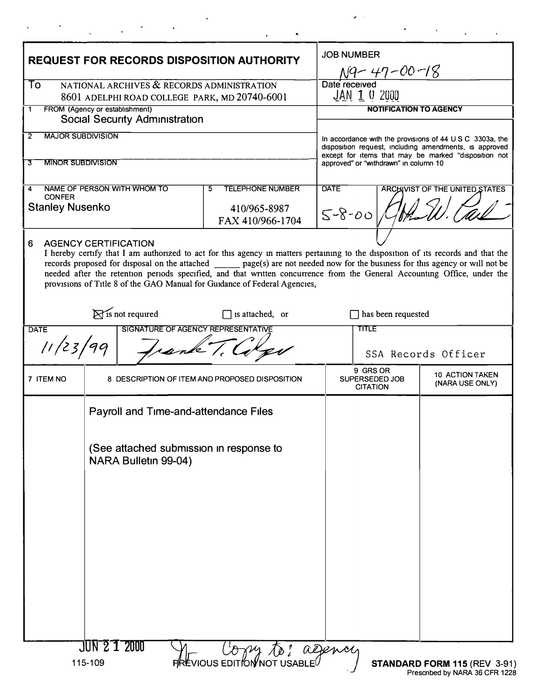| <b>REQUEST FOR RECORDS DISPOSITION AUTHORITY</b>                                                  |                                                                 |  |                                                                                                                                                                                                                                                                                                                                                                                                                                                                                |                                                                                                                                                                                      | <b>JOB NUMBER</b>                                |                                           |  |
|---------------------------------------------------------------------------------------------------|-----------------------------------------------------------------|--|--------------------------------------------------------------------------------------------------------------------------------------------------------------------------------------------------------------------------------------------------------------------------------------------------------------------------------------------------------------------------------------------------------------------------------------------------------------------------------|--------------------------------------------------------------------------------------------------------------------------------------------------------------------------------------|--------------------------------------------------|-------------------------------------------|--|
|                                                                                                   |                                                                 |  |                                                                                                                                                                                                                                                                                                                                                                                                                                                                                |                                                                                                                                                                                      | $\frac{NQ - 47 - 00 - 18}{\text{Date received}}$ |                                           |  |
| NATIONAL ARCHIVES & RECORDS ADMINISTRATION<br>To<br>8601 ADELPHI ROAD COLLEGE PARK, MD 20740-6001 |                                                                 |  |                                                                                                                                                                                                                                                                                                                                                                                                                                                                                | JAN 1 0 2000                                                                                                                                                                         |                                                  |                                           |  |
| FROM (Agency or establishment)<br>1<br><b>Social Security Administration</b>                      |                                                                 |  |                                                                                                                                                                                                                                                                                                                                                                                                                                                                                | <b>NOTIFICATION TO AGENCY</b>                                                                                                                                                        |                                                  |                                           |  |
| <b>MAJOR SUBDIVISION</b><br>2                                                                     |                                                                 |  |                                                                                                                                                                                                                                                                                                                                                                                                                                                                                |                                                                                                                                                                                      |                                                  |                                           |  |
|                                                                                                   |                                                                 |  |                                                                                                                                                                                                                                                                                                                                                                                                                                                                                | In accordance with the provisions of $44 \cup S \cup C$ 3303a, the<br>disposition request, including amendments, is approved<br>except for items that may be marked "disposition not |                                                  |                                           |  |
| <b>MINOR SUBDIVISION</b><br>3                                                                     |                                                                 |  |                                                                                                                                                                                                                                                                                                                                                                                                                                                                                | approved" or "withdrawn" in column 10                                                                                                                                                |                                                  |                                           |  |
| NAME OF PERSON WITH WHOM TO<br><b>TELEPHONE NUMBER</b><br>5<br>4<br><b>CONFER</b>                 |                                                                 |  |                                                                                                                                                                                                                                                                                                                                                                                                                                                                                | <b>DATE</b><br><b>ARCHIVIST OF THE UNITED STATES</b>                                                                                                                                 |                                                  |                                           |  |
| <b>Stanley Nusenko</b>                                                                            |                                                                 |  | 410/965-8987<br>FAX 410/966-1704                                                                                                                                                                                                                                                                                                                                                                                                                                               | $5 - 8 - 00$                                                                                                                                                                         |                                                  |                                           |  |
| <b>AGENCY CERTIFICATION</b><br>6                                                                  |                                                                 |  | I hereby certify that I am authorized to act for this agency in matters pertaining to the disposition of its records and that the<br>records proposed for disposal on the attached _______ page(s) are not needed now for the business for this agency or will not be<br>needed after the retention periods specified, and that written concurrence from the General Accounting Office, under the<br>provisions of Title 8 of the GAO Manual for Guidance of Federal Agencies, |                                                                                                                                                                                      |                                                  |                                           |  |
| $\triangleright$ is not required<br>is attached, or                                               |                                                                 |  |                                                                                                                                                                                                                                                                                                                                                                                                                                                                                | has been requested                                                                                                                                                                   |                                                  |                                           |  |
| SIGNATURE OF AGENCY REPRESENTATIVE<br><b>DATE</b>                                                 |                                                                 |  |                                                                                                                                                                                                                                                                                                                                                                                                                                                                                | <b>TITLE</b>                                                                                                                                                                         |                                                  |                                           |  |
| 11/23/99<br>Frank T.C.                                                                            |                                                                 |  |                                                                                                                                                                                                                                                                                                                                                                                                                                                                                | SSA Records Officer                                                                                                                                                                  |                                                  |                                           |  |
| 7 ITEM NO                                                                                         | 8 DESCRIPTION OF ITEM AND PROPOSED DISPOSITION                  |  |                                                                                                                                                                                                                                                                                                                                                                                                                                                                                |                                                                                                                                                                                      | 9 GRS OR<br>SUPERSEDED JOB<br><b>CITATION</b>    | <b>10 ACTION TAKEN</b><br>(NARA USE ONLY) |  |
|                                                                                                   | Payroll and Time-and-attendance Files                           |  |                                                                                                                                                                                                                                                                                                                                                                                                                                                                                |                                                                                                                                                                                      |                                                  |                                           |  |
|                                                                                                   | (See attached submission in response to<br>NARA Bulletin 99-04) |  |                                                                                                                                                                                                                                                                                                                                                                                                                                                                                |                                                                                                                                                                                      |                                                  |                                           |  |
|                                                                                                   |                                                                 |  |                                                                                                                                                                                                                                                                                                                                                                                                                                                                                |                                                                                                                                                                                      |                                                  |                                           |  |
|                                                                                                   | JUN 21 2000<br>115-109                                          |  | Copy to: agency<br><b>FREVIOUS EDITION NOT USABLE</b>                                                                                                                                                                                                                                                                                                                                                                                                                          |                                                                                                                                                                                      |                                                  | STANDARD FORM 115 (REV 3-91)              |  |

 $\hat{\textbf{z}}$ 

 $\label{eq:2.1} \frac{1}{\sqrt{2\pi}}\left(\frac{1}{\sqrt{2\pi}}\right)^{2/3} \left(\frac{1}{\sqrt{2\pi}}\right)^{2/3} \left(\frac{1}{\sqrt{2\pi}}\right)^{2/3}$ 

 $\alpha_{\rm{max}}=0.5$ 

 $\epsilon$  $\sim$ 

٠

 $\bullet$ 

 $\sigma_{\rm{max}}=1.4$  and

 $\overline{a}$ 

 $\mathbf{r}$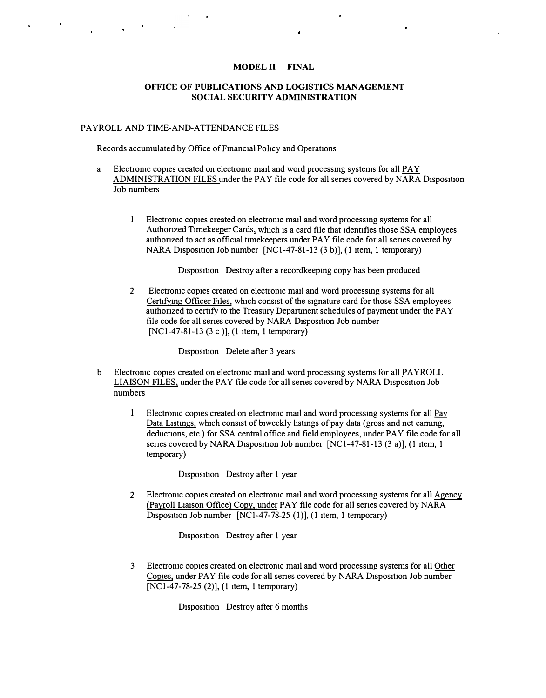## **MODEL II FINAL**

 $\mathbf{r}$ 

### **OFFICE OF PUBLICATIONS AND LOGISTICS MANAGEMENT SOCIAL SECURITY ADMINISTRATION**

### PAYROLL AND TIME-AND-ATTENDANCE FILES

Records accumulated by Office of Financial Policy and Operations

- a Electromc copies created on electromc mail and word processing systems for all PAY ADMINISTRATION FILES under the PAY file code for all series covered by NARA Disposition Job numbers
	- I Electromc copies created on electromc mail and word processmg systems for all Authorized Timekeeper Cards, which is a card file that identifies those SSA employees authonzed to act as official timekeepers under PAY file code for all senes covered by NARA Disposition Job number  $[NC1-47-81-13(3 b)]$ , (1 item, 1 temporary)

Disposition Destroy after a recordkeeping copy has been produced

2 Electromc copies created on electromc mail and word processmg systems for all Certifying Officer Files, which consist of the signature card for those SSA employees authonzed to certify to the Treasury Department schedules of payment under the PAY file code for all series covered by NARA Disposition Job number [NCl-47-81-13 (3 c )], (1 item, 1 temporary)

Disposition Delete after 3 years

- b Electromc copies created on electromc mail and word processmg systems for all PAYROLL LIAISON FILES, under the PAY file code for all series covered by NARA Disposition Job numbers
	- 1 Electronic copies created on electronic mail and word processing systems for all Pay Data Listings, which consist of biweekly listings of pay data (gross and net eaming, deductions, etc ) for SSA central office and field employees, under PAY file code for all series covered by NARA Disposition Job number  $[NC1-47-81-13 (3 a)], (1 item, 1]$ temporary)

Disposition Destroy after 1 year

2 Electromc copies created on electromc mail and word processmg systems for all Agency (Payroll Liaison Office) Copy, under PAY file code for all series covered by NARA Disposition Job number  $[NC1-47-78-25(1)]$ , (1 item, 1 temporary)

Disposition Destroy after 1 year

3 Electromc copies created on electromc mad and word processmg systems for all Other Copies, under PAY file code for all senes covered by NARA Disposition Job number [NC1-47-78-25 (2)], (1 item, 1 temporary)

Disposition Destroy after 6 months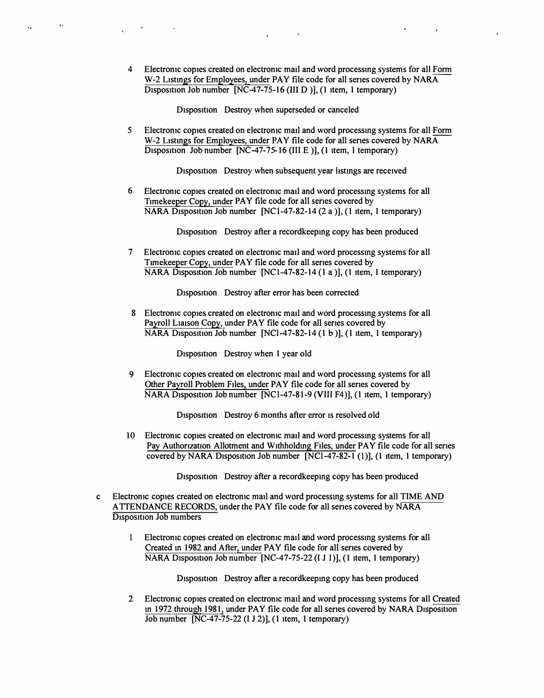4 Electromc copies created on electromc matl and word processmg systems for all Form W-2 Listings for Employees, under PAY file code for all series covered by NARA  $\overline{D}$  Disposition Job number  $\overline{[NC-47-75-16]}$  (III D ), (1 item, 1 temporary)

 $\sim$ 

D<sub>1</sub>spos<sub>1</sub>tion Destroy when superseded or canceled

*5* Electromc copies created on electromc mail and word processmg systems for all Form W-2 Listings for Employees, under PAY file code for all series covered by NARA Disposition Job number  $[NC-47-75-16$  (III E )], (1 item, 1 temporary)

Disposition Destroy when subsequent year listings are received

6 Electromc copies created on electromc matl and word processmg systems for all Timekeeper Copy, under PAY file code for all series covered by  $NARA$  Disposition Job number [NCl-47-82-14 (2 a )], (1 item, 1 temporary)

Disposition Destroy after a recordkeeping copy has been produced

7 Electromc copies created on electromc matl and word processmg systems for all Timekeeper Copy, under PAY file code for all series covered by NARA Disposition Job number  $[NC1-47-82-14(1 a)],$  (1 item, 1 temporary)

Disposition Destroy after error has been corrected

8 Electronic copies created on electronic mail and word processing systems for all Payroll Liaison Copy, under PAY file code for all series covered by  $NARA$  Disposition Job number  $[NCl-47-82-14(1 b)]$ , (1 item, 1 temporary)

Disposition Destroy when 1 year old

9 Electromc copies created on electromc matl and word processmg systems for all Other Payroll Problem Files, under PAY file code for all series covered by NARA Disposition Job number [NCl-47-81-9 (VIII F4)], (1 item, 1 temporary)

Disposition Destroy 6 months after error is resolved old

10 Electronic copies created on electronic mail and word processing systems for all Pay Authorization Allotment and Withholding Files, under PAY file code for all series covered by NARA Disposition Job number  $[\overline{NC1-47-82-1}(1)]$ , (1 item, 1 temporary)

Disposition Destroy after a recordkeeping copy has been produced

- c Electromc copies created on electromc mail and word processmg systems for all TIME AND ATTENDANCE RECORDS, under the PAY file code for all senes covered by NARA D<sub>1</sub>spos<sub>1t1</sub>on Job numbers
	- 1 Electromc copies created on electromc matl and word processmg systems for all Created in 1982 and After, under PAY file code for all series covered by  $NARA$  Disposition Job number  $[NC-47-75-22 (I J I)],$  (1 item, 1 temporary)

Disposition Destroy after a recordkeeping copy has been produced

2 Electromc copies created on electromc mail and word processmg systems for all Created in 1972 through 1981, under PAY file code for all series covered by NARA Disposition  $\overline{Job}$  number  $\overline{[NC-47-75-22 (I J 2)]}$ , (1 item, 1 temporary)